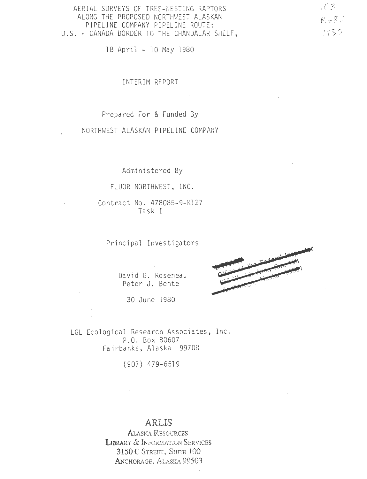AERIAL SURVEYS OF TREE-NESTING RAPTORS ALONG THE PROPOSED NORTHWEST ALASKAN PIPELINE COMPANY PIPELINE ROUTE: U.S. - CANADA BORDER TO THE CHANDALAR SHELF,

18 April - 10 May 1980

INTERIM REPORT

Prepared For & Funded By

NORTHWEST ALASKAN PIPELINE COMPANY

Administered By

FLUOR NORTHWEST, INC.

Contract No. 478085-9-Kl27 Task I

Principal Investigators

David G. Roseneau Peter J. Bente

30 June 1980



LGL Ecological Research Associates, Inc.<br>P.O. Box 80607 Fairbanks, Alaska 99708

( 907) 4 79-6519

### **ARLIS**

ALASKA REsouRCES LIBRARY & INFORMATION SERVICES **3150C** STREET, SUITE 100 ANCHORAGE, ALASKA 99503

 $\sqrt{2}$  $R682$  $1450$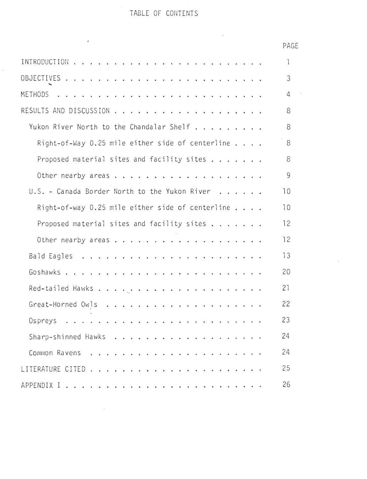### TABLE OF CONTENTS

ł,

 $\mathcal{L}^{\text{max}}_{\text{max}}$  and  $\mathcal{L}^{\text{max}}_{\text{max}}$ 

|                                                             | PAGE      |
|-------------------------------------------------------------|-----------|
|                                                             | -1        |
|                                                             | 3         |
|                                                             | $\cdot$ 4 |
|                                                             | 8         |
| Yukon River North to the Chandalar Shelf                    | 8         |
| Right-of-Way 0.25 mile either side of centerline $\ldots$ . | 8         |
| Proposed material sites and facility sites                  | 8         |
|                                                             | 9         |
| U.S. - Canada Border North to the Yukon River               | 10        |
| Right-of-way 0.25 mile either side of centerline $\ldots$ . | 10        |
| Proposed material sites and facility sites                  | 12        |
|                                                             | 12        |
|                                                             | 13        |
|                                                             | 20        |
|                                                             | 21        |
|                                                             | 22        |
| Ospreys                                                     | 23        |
|                                                             | 24        |
|                                                             | 24        |
|                                                             | 25        |
|                                                             | 26        |

 $\sim 10^6$ 

# AGE

 $\mathcal{A}$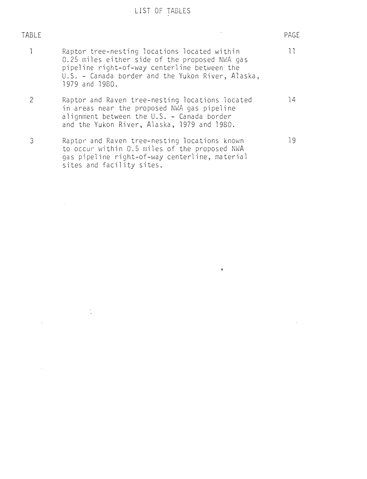# LIST OF TABLES

| TABLE |                                                                                                                                                                                                                       | PAGE |
|-------|-----------------------------------------------------------------------------------------------------------------------------------------------------------------------------------------------------------------------|------|
|       | Raptor tree-nesting locations located within<br>0.25 miles either side of the proposed NWA gas<br>pipeline right-of-way centerline between the<br>U.S. - Canada border and the Yukon River, Alaska,<br>1979 and 1980. | ן ן  |
| 2     | Raptor and Raven tree-nesting locations located<br>in areas near the proposed NWA gas pipeline<br>alignment between the $U.S. -$ Canada border<br>and the Yukon River, Alaska, 1979 and 1980.                         | 14   |
| 3     | Raptor and Raven tree-nesting locations known<br>to occur within 0.5 miles of the proposed NWA<br>gas pipeline right-of-way centerline, material<br>sites and facility sites.                                         | 19   |

 $\sim$ 

 $\label{eq:2.1} \frac{1}{\sqrt{2\pi}}\int_{\mathbb{R}^3}\frac{1}{\sqrt{2\pi}}\left(\frac{1}{\sqrt{2\pi}}\right)^2\frac{1}{\sqrt{2\pi}}\frac{1}{\sqrt{2\pi}}\frac{1}{\sqrt{2\pi}}\frac{1}{\sqrt{2\pi}}\frac{1}{\sqrt{2\pi}}\frac{1}{\sqrt{2\pi}}\frac{1}{\sqrt{2\pi}}\frac{1}{\sqrt{2\pi}}\frac{1}{\sqrt{2\pi}}\frac{1}{\sqrt{2\pi}}\frac{1}{\sqrt{2\pi}}\frac{1}{\sqrt{2\pi}}\frac{1}{\sqrt{2\pi}}\frac$ 

 $\label{eq:2.1} \frac{1}{\sqrt{2}}\left(\frac{1}{\sqrt{2}}\right)^{2} \left(\frac{1}{\sqrt{2}}\right)^{2} \left(\frac{1}{\sqrt{2}}\right)^{2} \left(\frac{1}{\sqrt{2}}\right)^{2} \left(\frac{1}{\sqrt{2}}\right)^{2} \left(\frac{1}{\sqrt{2}}\right)^{2} \left(\frac{1}{\sqrt{2}}\right)^{2} \left(\frac{1}{\sqrt{2}}\right)^{2} \left(\frac{1}{\sqrt{2}}\right)^{2} \left(\frac{1}{\sqrt{2}}\right)^{2} \left(\frac{1}{\sqrt{2}}\right)^{2} \left(\$ 

 $\label{eq:2.1} \frac{1}{\sqrt{2}}\int_{\mathbb{R}^3} \frac{1}{\sqrt{2}}\left(\frac{1}{\sqrt{2}}\right)^2\left(\frac{1}{\sqrt{2}}\right)^2\left(\frac{1}{\sqrt{2}}\right)^2\left(\frac{1}{\sqrt{2}}\right)^2.$ 

 $\mathcal{L}^{\text{max}}_{\text{max}}$  and  $\mathcal{L}^{\text{max}}_{\text{max}}$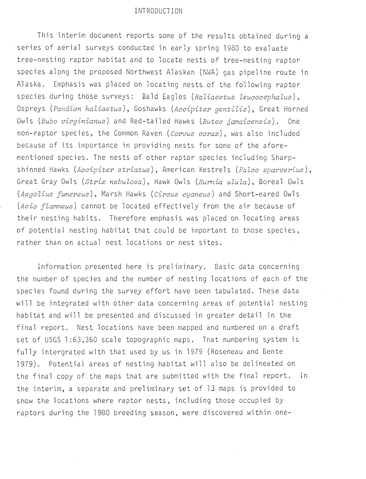#### INTRODUCTION

This interim document reports some of the results obtained during a series of aerial surveys conducted in early spring 1980 to evaluate tree-nesting raptor habitat and to locate nests of tree-nesting raptor species along the proposed Northwest Alaskan (NWA) gas pipeline route in Alaska. Emphasis was placed on locating nests of the following raptor species during those surveys: Bald Eagles *(Haliaeetus leucocephalus),*  Ospreys (Pandion haliaetus), Goshawks (Accipiter gentilis), Great Horned Owls *(Bubo virginianus)* and Red-tailed Hawks *(Buteo jamaicensis).* One non-raptor species, the Common Raven *(Corvus corax),* was also included because of its importance in providing nests for some of the aforementioned species. The nests of other raptor species including Sharpshinned Hawks *(Accipiter striatus)*, American Kestrels *(Falco sparverius)*, Great Gray Owls *(Strix .nebulosa),* Hawk Owls *(Surnia ulula),* Boreal Owls *(Aegolius funereus)*, Marsh Hawks *(Circus cyaneus)* and Short-eared Owls *(Asio flammeus)* cannot be located effectively from the air because of their nesting habits. Therefore emphasis was placed on locating areas of potential nesting habitat that could be important to those species, rather than on actual nest locations or nest sites.

Information presented here is preliminary. Basic data concerning the number of species and the number of nesting locations of each of the species found during the survey effort have been tabulated. These data will be integrated with other data concerning areas of potential nesting habitat and will be presented and discussed in greater detail in the final report. Nest locations have been mapped and numbered on a draft set of USGS 1:63,360 scale topographic maps. That numbering system is fully intergrated with that used by us in 1979 (Roseneau and Bente 1979). Potential areas of nesting habitat will also be delineated on the final copy of the maps that are submitted with the final report. In the interim, a separate and preliminary set of 13 maps is provided to show the locations where raptor nests, including those occupied by raptors during the 1980 breeding season, were discovered within one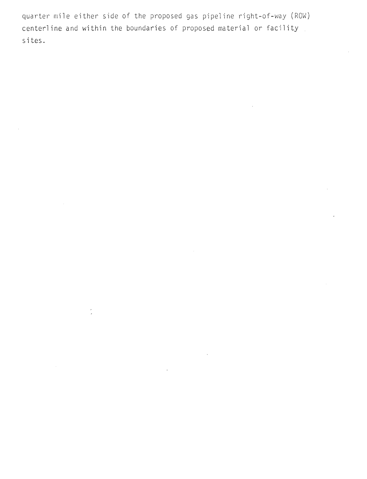quarter mile either side of the proposed gas pipeline right-of-way (ROW) centerline and within the boundaries of proposed material or facility sites.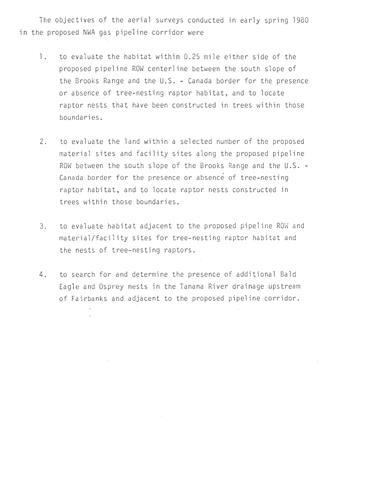The objectives of the aerial surveys conducted in early spring 1980 in the proposed NWA gas pipeline corridor were

- 1. to evaluate the habitat within 0.25 mile either side of the proposed pipeline ROW centerline between the south slope of the Brooks Range and the U. S. - Canada border for the presence or absence of tree-nesting raptor habitat, and to locate raptor nests that have been constructed in trees within those boundaries.
- 2. to evaluate the land within a selected number of the proposed material sites and facility sites along the proposed pipeline ROW between the south slope of the Brooks Range and the U.S. -Canada border for the presence or absence of tree-nesting raptor habitat, and to locate raptor nests constructed in trees within those boundaries.
- 3. to evaluate habitat adjacent to the proposed pipeline ROW and material/facility sites for tree-nesting raptor habitat and the nests of tree- nesting raptors .
- 4. to search for and determine the presence of additional Bald Eagle and Osprey nests in the Tanana River drainage upstream of Fairbanks and adjacent to the proposed pipeline corridor.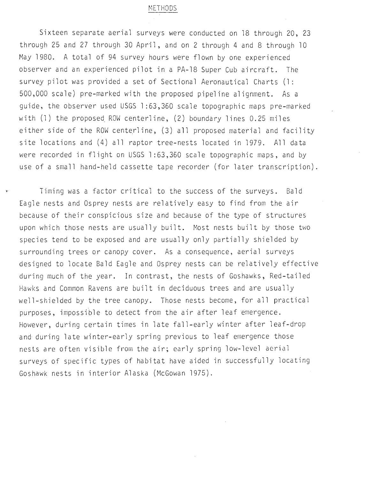#### METHODS

Sixteen separate aerial surveys were conducted on 18 through 20, 23 through 25 and 27 through 30 April, and on 2 through 4 and 8 through 10 May 1980. A total of 94 survey hours were flown by one experienced observer and an experienced pilot in a PA-18 Super Cub aircraft. The survey pilot was provided a set of Sectional Aeronautical Charts (1: 500,000 scale) pre-marked with the proposed pipeline alignment. As a guide, the observer used USGS 1:63,360 scale topographic maps pre-marked with  $(1)$  the proposed ROW centerline,  $(2)$  boundary lines 0.25 miles either side of the ROW centerline,  $(3)$  all proposed material and facility site locations and (4) all raptor tree-nests located in 1979. All data were recorded in flight on USGS 1:63,360 scale topographic maps, and by use of a small hand-held cassette tape recorder (for later transcription).

• Timing was a factor critical to the success of the surveys. Bald Eagle nests and Osprey nests are relatively easy to find from the air because of their conspicious size and because of the type of structures upon which those nests are usually built. Most nests built by those two species tend to be exposed and are usually only partially shielded by surrounding trees or canopy cover. As a consequence, aerial surveys designed to locate Bald Eagle and Osprey nests can be relatively effective during much of the year. In contrast, the nests of Goshawks, Red-tailed Hawks and Common Ravens are built in deciduous trees and are usually well-shielded by the tree canopy. Those nests become, for all practical purposes, impossible to detect from the air after leaf emergence. However, during certain times in late fall-early winter after leaf-drop and· during late winter-early spring previous to leaf emergence those nests are often visible from the air; early spring low-level aerial surveys of specific types of habitat have aided in successfully locating Goshawk nests in interior Alaska (McGowan 1975).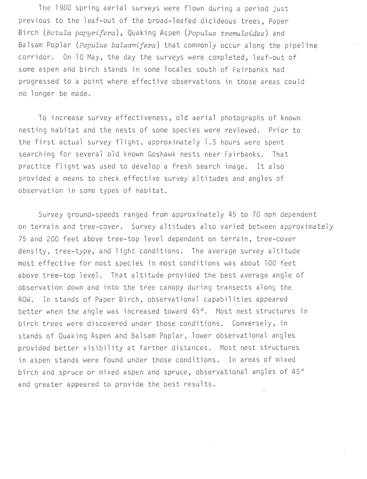The 1980 spring aerial surveys were flown during a period just previous to the leaf-out of the broad-leafed dicideous trees, Paper Birch *(Betula papyrifera) ,* Quaking Aspen *(Populus tremuloides )* and Balsam Poplar *(Populus balsamifera)* that commonly occur along the pipeline corridor. On 10 May, the day the surveys were completed, leaf-out of some aspen and birch stands in some locales south of Fairbanks had progressed to a point where effective observations in those areas could no longer be made .

To increase survey effectiveness, old aerial photographs of known nesting habitat and the nests of some species were reviewed . Prior to the first actual survey flight, approximately 1.5 hours were spent searching for several old known Goshawk nests near Fairbanks. That practice flight was used to develop a fresh search image. It also provided a means to check effective survey altitudes and angles of observation in some types of habitat.

Survey ground-speeds ranged from approximately 45 to 70 mph dependent on terrain and tree-cover. Survey altitudes also varied between approximately 75 and 200 feet above tree-top level dependent on terrain, tree-cover density, tree-type, and light conditions. The average survey altitude most effective for most species in most conditions was about 100 feet above tree-top level. That altitude provided the best average angle of observation down and into the tree canopy during transects along the ROW. In stands of Paper Birch, observational capabilities appeared better when the angle was increased toward  $45^\circ$ . Most nest structures in birch trees were discovered under those conditions. Conversely, in stands of Quaking Aspen and Balsam Poplar, lower observational angles provided better visibility at farther distances. Most nest structures in aspen stands were found under those conditions. In areas of mixed birch and spruce or mixed aspen and spruce, observational angles of 45° and greater appeared to provide the best results.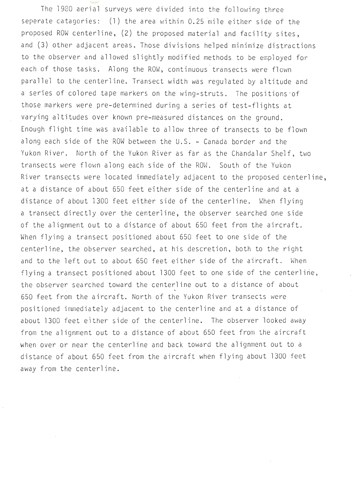The 1980 aerial surveys were divided into the following three seperate catagories:  $(1)$  the area within 0.25 mile either side of the proposed ROW centerline, (2) the proposed material and facility sites, and (3) other adjacent areas. Those divisions helped minimize distractions to the observer and allowed slightly modified methods to be employed for each of those tasks. Along the ROW, continuous transects were flown parallel to the centerline. Transect width was regulated by altitude and a series of colored tape markers on the wing-struts. The positions ·of those markers were pre-determined during a series of test-flights at varying altitudes over known pre-measured distances on the ground. Enough flight time was available to allow three of transects to be flown along each side of the ROW between the U.S. - Canada border and the Yukon River. North of the Yukon River as far as the Chandalar Shelf, two transects were flown along each side of the ROW. South of the Yukon River transects were located immediately adjacent to the proposed centerline, at a distance of about 650 feet either side of the centerline and at a distance of about 1300 feet either side of the centerline. When flying a transect directly over the centerline, the observer searched one side of the alignment out to a distance of about 650 feet from the aircraft. When flying a transect positioned about 650 feet to one side of the centerline, the observer searched, at his descretion, both to the right and to the left out to about 650 feet either side of the aircraft. When flying a transect positioned about 1300 feet to one side of the centerline, the observer searched toward the centerline out to a distance of about 650 feet from the aircraft. North of the Yukon River transects were positioned imnediately adjacent to the centerline and at a distance of about 1300 feet either side of the centerline. The observer looked away from the alignment out to a distance of about 650 feet from the aircraft when over or near the centerline and back toward the alignment out to a distance of about 650 feet from the aircraft when flying about 1300 feet away from the centerline.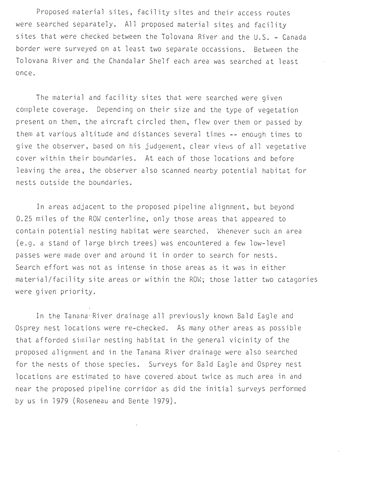Proposed material sites, facility sites and their access routes were searched separately. All proposed material sites and facility sites that were checked between the Tolovana River and the U.S. - Canada border were surveyed on at least two separate occassions. Between the Tolovana River and the Chandalar Shelf each area was searched at least once.

The material and facility sites that were searched were given complete coverage. Depending on their size and the type of vegetation present on them, the aircraft circled them, flew over them or passed by them at various altitude and distances several times -- enough times to give the observer, based on his judgement, clear views of all vegetative cover within their boundaries. At each of those locations and before leaving the area, the observer also scanned nearby potential habitat for nests outside the boundaries.

In areas adjacent to the proposed pipeline alignment, but beyond 0.25 miles of the ROW centerline, only those areas that appeared to contain potential nesting habitat were searched. Whenever such an area (e.g. a stand of large birch trees) was encountered a few low-level passes were made over and around it in order to search for nests. Search effort was not as intense in those areas as it was in either material/facility site areas or within the ROW; those latter two catagories were given priority.

In the Tanana· River drainage all previously knovm Bald Eagle and Osprey nest locations were re-checked. As many other areas as possible that afforded similar nesting habitat in the general vicinity of the proposed alignment and in the Tanana River drainage were also searched for the nests of those species. Surveys for Bald Eagle and Osprey nest locations are estimated *to* have covered about twice as much area in and near the proposed pipeline corridor as did the initial surveys performed by us in 1979 (Roseneau and Bente 1979).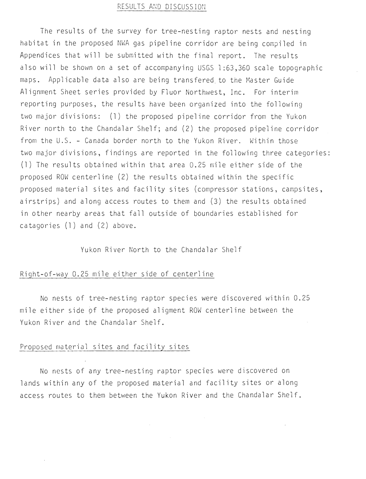### RESULTS AND DISCUSSION

The results of the survey for tree-nesting raptor nests and nesting habitat in the proposed NWA gas pipeline corridor are being compiled in Appendices that will be submitted with the final report. The results also will be shown on a set of accompanying USGS 1:63,360 scale to pographic maps. Applicable data also are being transfered to the Master Guide Alignment Sheet series provided by Fluor Northwest, Inc. For interim reporting purposes, the results have been organized into the following two major divisions: (1) the proposed pipeline corridor from the Yukon River north to the Chandalar Shelf; and (2) the proposed pipeline corridor from the U.S. - Canada border north to the Yukon River. Within those two major divisions, findings are reported in the following three categories: (1) The results obtained within that area  $0.25$  mile either side of the proposed ROW centerline (2) the results obtained within the specific proposed material sites and facility sites (compressor stations, campsites, airstrips) and along access routes to them and (3) the results obtained in other nearby areas that fall outside of boundaries established for catagories  $(1)$  and  $(2)$  above.

Yukon River North to the Chandalar Shelf

#### Right-of-way 0.25 mile either side of centerline

No nests of tree-nesting raptor species were discovered within 0.25 mile either side of the proposed aligment ROW centerline between the Yukon River and the Chandalar Shelf.

#### Proposed material sites and facility sites

No nests of any tree-nesting raptor species were discovered on lands within any of the proposed material and facility sites or along access routes to them between the Yukon River and the Chandalar Shelf.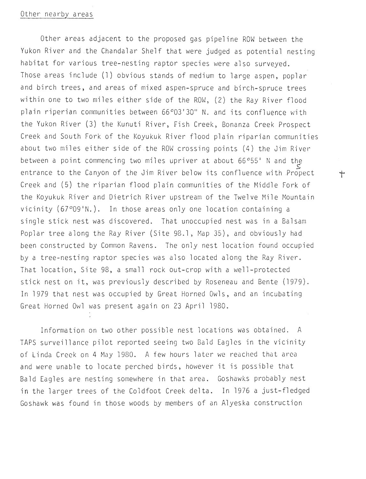#### Other nearby areas

Other areas adjacent to the proposed gas pipeline ROW between the Yukon River and the Chandalar Shelf that were judged as potential nesting habitat for various tree-nesting raptor species were also surveyed. Those areas include (1) obvious stands of medium to large aspen, poplar and birch trees, and areas of mixed aspen-spruce and birch-spruce trees within one to two miles either side of the ROW, (2) the Ray River flood plain riperian communities between 66°03'30" N. and its confluence with the Yukon River (3) the Kunuti River, Fish Creek, Bonanza Creek Prospect Creek and South Fork of the Koyukuk River flood plain riparian communities about two miles either side of the ROW crossing points (4) the Jim River between a point commencing two miles upriver at about 66°55' N and the *s*  entrance to the Canyon of the Jim River below its confluence with Propect  $\qquad$ Creek and (5) the riparian flood plain communities of the Middle Fork of the Koyukuk River and Dietrich River upstream of the Twelve Mile Mountain vicinity (67°09'N. ). In those areas only one location containing a single stick nest was discovered. That unoccupied nest was in a Balsam Poplar tree along the Ray River (Site 98.1, Map 35), and obviously had been constructed by Common Ravens. The only nest location found occupied by a tree-nesting raptor species was also located along the Ray River. That location, Site 98, a small rock out-crop with a well-protected stick nest on it, was previously described by Roseneau and Bente (1979) . In 1979 that nest was occupied by Great Horned Owls, and an incubating Great Horned Owl was present again on 23 April 1980.

Information on two other possible nest locations was obtained. A TAPS surveillance pilot reported seeing two Bald Eagles in the vicinity of Linda Creek on 4 May 1980. A few hours later we reached that area and were unable to locate perched birds, however it is possible that Bald Eagles are nesting somewhere in that area. Goshawks probably nest in the larger trees of the Coldfoot Creek delta. In 1976 a just-fledged Goshawk was found in those woods by members of an Alyeska construction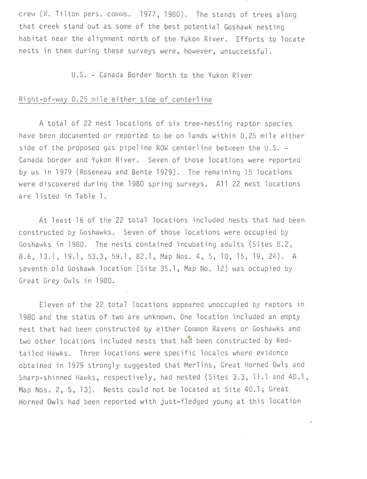crew (W. Tilton pers. comms. 1977, 1980). The stands of trees along that creek stand out as some of the best potential Goshawk nesting . habitat near the alignment north of the Yukon River. Efforts to locate nests in them during these surveys were, however, unsuccessful.

U.S. - Canada Border North to the Yukon River

#### Right-of-way 0.25 mile either side of centerline

A total of 22 nest locations of six tree-nesting raptor species have been documented or reported to be on lands within 0.25 mile either side of the proposed gas pipeline ROW centerline between the  $U.S. -$ Canada border and Yukon River. Seven of those locations were reported by us in 1979 (Roseneau and Bente l97g). The remaining 15 locations were discovered during the 1980 spring surveys. All 22 nest locations are listed in Table l.

At least 16 of the 22 total locations included nests that had been constructed by Goshawks. Seven of those locations were occupied by Goshawks in 1980. The nests contained incubating adults (Sites 8.2, 8.6, 13.1, 19.1, 53.3, 59.1, 82.1, Map Nos. 4, 5, 10, 15, 19, 24). A seventh old Goshawk location (Site 35.1, Map No. 12) was occupied by Great Grey Owls in 1980.

Eleven of the 22 total locations appeared unoccupied by raptors in 1980 and the status of two are unknown. One location included an empty nest that had been constructed by either Conmon Ravens or Goshawks and two other locations included nests that had been constructed by Redtailed Hawks. Three locations were specific locales where evidence obtained in 1979 strongly suggested that Merlins, Great Horned Owls and Sharp-shinned Hawks, respectively, had nested (Sites 3.3, 11.1 and 40.1, Map Nos. 2, 5, 13). Nests could not be located at Site 40.1; Great Horned Owls had been reported with just-fledged young at this location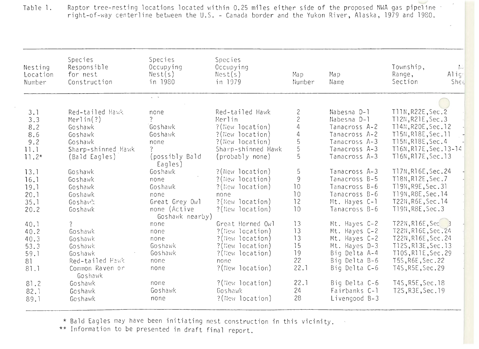Table l . Raptor tree-nesting locations located within 0.25 miles either side of the proposed NWA gas pipeline - right-of-way centerline between the U.S. - Canada border and the Yukon River, Alaska, 1979 and 1980.

| Nesting<br>Location<br>Number | Species<br>Responsible<br>for nest<br>Construction | Species<br>Occupying<br>Nest(s)<br>in 1980 | Species<br>Occupying<br>Nest(s)<br>in 1979 | Map<br>Number                         | Map<br>Name   | Township,<br>$\frac{1}{2}$<br>Align<br>Range,<br>Section<br>Shee |
|-------------------------------|----------------------------------------------------|--------------------------------------------|--------------------------------------------|---------------------------------------|---------------|------------------------------------------------------------------|
|                               |                                                    | $\zeta_{\rm c} = -\zeta_{\rm c}$           |                                            |                                       |               |                                                                  |
| 3.1                           | Red-tailed Hawk                                    | none                                       | Red-tailed Hawk                            |                                       | Nabesna D-1   | T11N, R22E, Sec. 2                                               |
| 3.3                           | Merlin(?)                                          |                                            | Merlin                                     | $\begin{array}{c} 2 \\ 2 \end{array}$ | Nabesna D-1   | T12N, R21E, Sec.3                                                |
| 8.2                           | Goshawk                                            | Goshawk                                    | ?(New location)                            | $\overline{4}$                        | Tanacross A-2 | T14N, R20E, Sec. 12                                              |
| 8.6                           | Goshawk                                            | Goshawk                                    | ?(New location)                            | $\overline{4}$                        | Tanacross A-2 | T15N, R18E, Sec. 11                                              |
| 9.2                           | Goshawk                                            | none                                       | ?(New location)                            |                                       | Tanacross A-3 | T15N, R18E, Sec. 4                                               |
| 11.1                          | Sharp-shinned Hawk                                 | $\overline{?}$                             | Sharp-shinned Hawk                         | $\frac{5}{5}$                         | Tanacross A-3 | T16N, R17E, Sec. 13-14                                           |
| $11.2*$                       | (Bald Eagles)                                      | (possibly Bald                             | (probably none)                            | 5                                     | Tanacross A-3 | T16N, R17E, Sec. 13                                              |
|                               |                                                    | Eagles)                                    |                                            |                                       |               |                                                                  |
| 13.1                          | Goshawk                                            | Goshawk                                    | ?(New location)                            | 5                                     | Tanacross A-3 | T17N, R16E, Sec. 24                                              |
| 16.1                          | Goshawk                                            | none                                       | ?(New location)                            | 9                                     | Tanacross B-5 | T18N, R12E, Sec.7                                                |
| 19.1                          | Goshawk                                            | Goshawk                                    | ?(New location)                            | 10                                    | Tanacross B-6 | T19N, R9E, Sec. 31                                               |
| 20.1                          | Goshawk                                            | none                                       | none                                       | 10                                    | Tanacross B-6 | T19N, R8E, Sec. 14                                               |
| 35.1                          | Goshawk:                                           | Great Grey Owl                             | ?(New location)                            | 12                                    | Mt. Hayes C-1 | T22N, R6E, Sec. 14                                               |
| 20.2                          | Goshawk                                            | none (Active                               | ?(New location)                            | 10                                    | Tanacross B-6 | T19N, R8E, Sec.3                                                 |
|                               |                                                    | Goshawk nearby)                            |                                            |                                       |               |                                                                  |
| 40.1                          | $\overline{?}$                                     | none                                       | Great Horned Owl                           | 13                                    | Mt. Hayes C-2 | T22N, R16E, Sec                                                  |
| 40.2                          | Goshawk                                            | none                                       | ?(New location)                            | 13                                    | Mt. Hayes C-2 | T22N, R16E, Sec. 24                                              |
| 40.3                          | Goshawk                                            | none                                       | ?(New location)                            | 13                                    | Mt. Hayes C-2 | T22N, R16E, Sec. 24                                              |
| 53.3                          | Goshawk                                            | Goshawk                                    | ?(New location)                            | 15                                    | Mt. Hayes D-3 | T12S, R13E, Sec. 13                                              |
| 59.1                          | Goshawk                                            | Goshawk                                    | ?(New location)                            | 19                                    | Big Delta A-4 | T10S, R11E, Sec. 29                                              |
| 81                            | Red-tailed Hawk                                    | none                                       | none                                       | 22                                    | Big Delta B-6 | T5S, R6E, Sec. 22                                                |
| 81.1                          | Common Raven or                                    | none                                       | ?(New location)                            | 22.1                                  | Big Delta C-6 | T4S, R5E, Sec. 29                                                |
|                               | Goshawk                                            |                                            |                                            |                                       |               |                                                                  |
| 81.2                          | Goshawk                                            | none                                       | ?(New location)                            | 22.1                                  | Big Delta C-6 | T4S, R5E, Sec. 18                                                |
| 82.1                          | Goshawk                                            | Goshawk                                    | Goshawk                                    | 24                                    | Fairbanks C-1 | T2S, R3E, Sec. 19                                                |
| 89.1                          | Goshawk                                            | none                                       | ?(New location)                            | 28                                    | Livengood B-3 |                                                                  |
|                               |                                                    |                                            |                                            |                                       |               |                                                                  |

\* Bald Eagles may have been initiating nest construction in this vicinity.

\*\* Information to be presented in draft final report.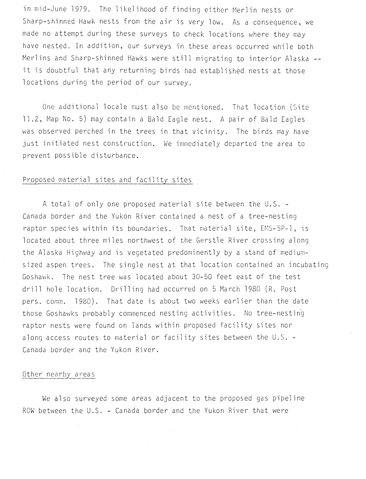in mid-June 1979. The likelihood of finding either Merlin nests or Sharp-shinned Hawk nests from the air is very low. As a consequence, we made no attempt during these surveys to check locations where they may have nested. In addition, our surveys in these areas occurred while both Merlins and Sharp-shinned Hawks were still migrating to interior Alaska -it is doubtful that any returning birds had established nests at those locations during the period of our survey.

One additional locale must also be mentioned. That location (Site 11.2, Map No. 5) may contain a Bald Eagle nest. A pair of Bald Eagles was observed perched in the trees in that vicinity. The birds may have just initiated nest construction. We immediately departed the area to prevent poss ible disturbance.

#### Proposed material sites and facility sites

A total of only one proposed material site between the U. S. - Canada border and the Yukon River contained a nest of a tree-nesting raptor species within its boundaries. That material site, EMS-5P-1, is located about three miles northwest of the Gerstle River crossing along the Alaska Highway and is vegetated predominently by a stand of mediumsized aspen trees. The single nest at that location contained an incubating Goshawk. The nest tree was located about 30-50 feet east of the test drill hole location. Drilling had occurred on 5 March 1980 (R. Post pers. comm. 1980). That date is about two weeks earlier than the date those Goshawks probably commenced nesting activities. No tree-nesting raptor nests were found on lands within proposed facility sites nor along access routes to material or facility sites between the  $U.S.$  -Canada border and the Yukon River.

#### Other nearby areas

We also surveyed some areas adjacent to the proposed gas pipeline ROW between the U.S. - Canada border and the Yukon River that were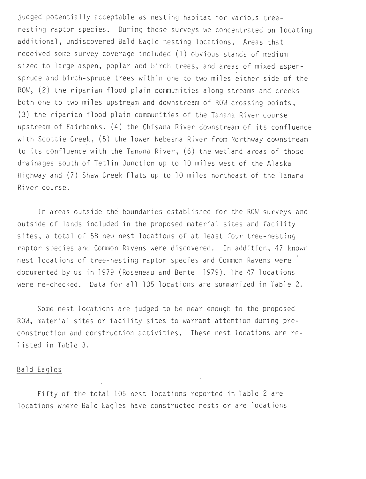judged potentially acceptable as nesting habitat for various treenesting raptor species. During these surveys we concentrated on locating additional, undiscovered Bald Eagle nesting locations. Areas that received some survey coverage included (1) obvious stands of medium sized to large aspen, poplar and birch trees, and areas of mixed aspenspruce and birch -spruce trees within one to two miles either side of the ROW, (2) the riparian flood plain communities along streams and creeks both one to two miles upstream and downstream of ROW crossing points, (3) the riparian flood plain communities of the Tanana River course upstream of Fairbanks, (4) the Chisana River downstream of its confluence with Scottie Creek, (5) the lower Nebesna River from Northway downstream to its confluence with the Tanana River, (6) the wetland areas of those drainages south of Tetlin Junction up to 10 miles west of the Alaska Highway and (7) Shaw Creek Flats up to 10 miles northeast of the Tanana River course.

In areas outside the boundaries established for the ROW surveys and outside of lands included in the proposed material sites and facility sites, a total of 58 new nest locations of at least four tree-nesting raptor species and Common Ravens were discovered. In addition, 47 known nest locations of tree-nesting raptor species and Common Ravens were documented by us in 1979 (Roseneau and Bente 1979). The 47 locations were re-checked. Data for all 105 locations are summarized in Table 2.

Some nest locations are judged to be near enough to the proposed ROW, material sites or facility sites to warrant attention during preconstruction and construction activities. These nest locations are relisted in Table 3.

#### Bald Eagles

Fifty of the total 105 nest locations reported in Table 2 are locations where Bald Eagles have constructed nests or are locations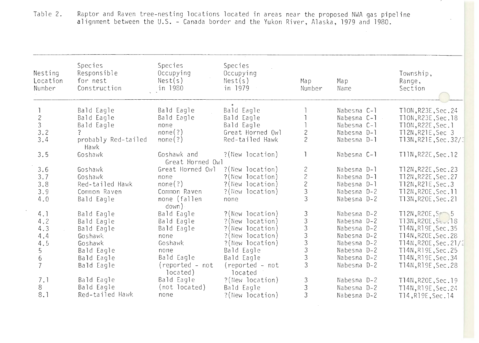| Table 2. | Raptor and Raven tree-nesting locations located in areas near the proposed NWA gas pipeline |  |  |  |  |
|----------|---------------------------------------------------------------------------------------------|--|--|--|--|
|          | alignment between the U.S. - Canada border and the Yukon River, Alaska, 1979 and 1980.      |  |  |  |  |

 $\sim$ 

 $\sigma$  .

| Nesting<br>Location<br>Number | Species<br>Responsible<br>for nest<br>Construction | Species<br>Occupying<br>Nest(s)<br>in 1980 | Species<br>Occupying<br>Nest(s)<br>in 1979 | $Ma$ <sub>D</sub><br>Number                       | Map<br>Name            | Township,<br>Range,<br>Section |
|-------------------------------|----------------------------------------------------|--------------------------------------------|--------------------------------------------|---------------------------------------------------|------------------------|--------------------------------|
|                               | Bald Eagle                                         | Bald Eagle                                 | Bald Eagle                                 |                                                   | Nabesna C-1            | T10N, R23E, Sec. 24            |
| $\mathbf{2}$                  | Bald Eagle                                         | Bald Eagle                                 | Bald Eagle                                 |                                                   | Nabesna C-1            | T10N, R23E, Sec. 18            |
| $\mathfrak{Z}$                | Bald Eagle                                         | none                                       | Bald Eagle                                 |                                                   | Nabesna C-1            | T10N, R22E, Sec. 1             |
| 3.2                           | $\overline{?}$                                     | none(?)                                    | Great Horned Owl                           | $\mathbf{2}$                                      | Nabesna D-1            | T12N, R21E, Sec 3              |
| 3.4                           | probably Red-tailed<br>Hawk                        | none(?)                                    | Red-tailed Hawk                            | $\overline{c}$                                    | Nabesna D-1            | T13N, R21E, Sec. 32/3          |
| 3.5                           | Goshawk                                            | Goshawk and<br>Great Horned Owl            | ?(New location)                            |                                                   | Nabesna C-1            | T11N, R22E, Sec. 12            |
| 3.6                           | Goshawk                                            | Great Horned Owl                           | ?(New location)                            |                                                   | Nabesna D-1            | T12N, R22E, Sec. 23            |
| 3.7                           | Goshawk                                            | none                                       | ?(New location)                            | $\begin{array}{c}\n2 \\ 2 \\ 2 \\ 3\n\end{array}$ | Nabesna D-1            | T12N, R22E, Sec. 27            |
| 3.8                           | Red-tailed Hawk                                    | none(?)                                    | ?(New location)                            |                                                   | Nabesna D-1            | T12N, R21E, Sec.3              |
| 3.9                           | Common Raven                                       | Common Raven                               | ?(New location)                            |                                                   | Nabesna D-2            | T12N, R20E, Sec. 11            |
| 4.0                           | Bald Eagle                                         | none (fallen<br>down)                      | none                                       | $\overline{3}$                                    | Nabesna D-2            | T13N, R20E, Sec. 21            |
| 4.1                           | Bald Eagle                                         | Bald Eagle                                 | ?(New location)                            |                                                   | Nabesna D-2            | $T12N, R20E, S \rightarrow 5$  |
| 4.2                           | Bald Eagle                                         | Bald Eagle                                 | ?(New location)                            |                                                   | Nabesna D-2            | T13N, R20E, St., 18            |
| 4.3                           | Bald Eagle                                         | Bald Eagle                                 | ?(New location)                            |                                                   | Nabesna <sub>D-2</sub> | T14N, R19E, Sec. 35            |
| 4.4                           | Goshawk                                            | none                                       | ?(New location)                            |                                                   | Nabesna D-2            | T14N, R20E, Sec. 28            |
| 4.5                           | Goshawk                                            | Goshawk                                    | ?(New location)                            | 33333333                                          | Nabesna D-2            | T14N, R20E, Sec. 21/2          |
| 5                             | Bald Eagle                                         | none                                       | Bald Eagle                                 |                                                   | Nabesna D-2            | T14N, R19E, Sec. 25            |
| 6 <sup>1</sup>                | Bald Eagle                                         | Bald Eagle                                 | Bald Eagle                                 |                                                   | Nabesna D-2            | T14N, R19E, Sec. 34            |
| $\overline{7}$                | Bald Eagle                                         | (reported - not<br>located)                | (reported - not<br>located                 | $\overline{3}$                                    | Nabesna D-2            | T14N, R19E, Sec. 28            |
| 7.1                           | Bald Eagle                                         | Bald Eagle                                 | ?(New location)                            | $\mathfrak{Z}$                                    | Nabesna D-2            | T14N, R20E, Sec. 19            |
| 8                             | Bald Eagle                                         | (not located)                              | Bald Eagle                                 | $\ensuremath{\mathfrak{Z}}$                       | Nabesna D-2            | T14N, R19E, Sec. 24            |
| 8.1                           | Red-tailed Hawk                                    | none                                       | ?(New location)                            | $\overline{3}$                                    | Nabesna D-2            | T14, R19E, Sec. 14             |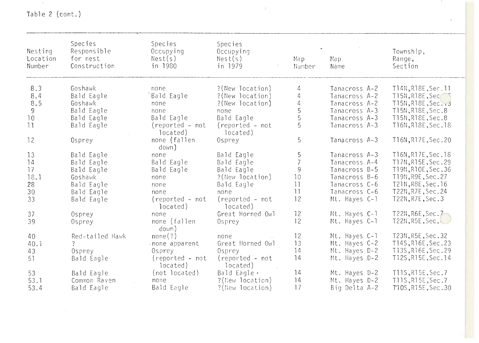Table 2 (cont.)

 $\label{eq:2.1} \mathcal{L}(\mathcal{L}(\mathcal{L})) = \mathcal{L}(\mathcal{L}(\mathcal{L})) = \mathcal{L}(\mathcal{L}(\mathcal{L}))$ 

| Nesting<br>Location<br>Number | Species<br>Responsible<br>for nest<br>Construction | Species<br>Occupying<br>Nest(s)<br>in 1980 | Species<br>Occupying<br>Nest(s)<br>in 1979 | Map.<br>Number  | Map<br>Name   | Township,<br>Range,<br>Section |
|-------------------------------|----------------------------------------------------|--------------------------------------------|--------------------------------------------|-----------------|---------------|--------------------------------|
| 8.3                           | Goshawk                                            | none                                       | ?(New location)                            | 4               | Tanacross A-2 | T14N, R18E, Sec. 11            |
| 8.4                           | Bald Eagle                                         | Bald Eagle                                 | ?(New location)                            | 4               | Tanacross A-2 | T15N, R18E, Sec                |
| 8.5                           | Goshawk                                            | none                                       | ?(New location)                            | 4               | Tanacross A-2 | T15N, R18E, Sec. 3             |
| 9                             | Bald Eagle                                         | none                                       | none                                       | 5               | Tanacross A-3 | T15N, R18E, Sec.8              |
| 10                            | Bald Eagle                                         | Bald Eagle                                 | Bald Eagle                                 | 5               | Tanacross A-3 | T15N, R18E, Sec.8              |
| 11                            | Bald Eagle                                         | (reported - not<br>located)                | (reported - not<br>located)                | 5               | Tanacross A-3 | T16N, R18E, Sec. 18            |
| 12                            | Osprey                                             | none (fallen<br>down)                      | Osprey                                     | 5               | Tanacross A-3 | T16N, R17E, Sec. 20            |
| 13                            | Bald Eagle                                         | none                                       | Bald Eagle                                 | 5               | Tanacross A-3 | T16N, R17E, Sec. 18            |
| 14                            | Bald Eagle                                         | Bald Eagle                                 | Bald Eagle                                 | $\overline{7}$  | Tanacross A-4 | T17N, R15E, Sec. 29            |
| 17                            | Bald Eagle                                         | Bald Eagle                                 | Bald Eagle                                 | $9\,$           | Tanacross B-5 | T19N, R10E, Sec. 36            |
| 18.1                          | Goshawk                                            | none                                       | ?(New location)                            | 10              | Tanacross B-6 | T19N, R9E, Sec. 27             |
| 28                            | Bald Eagle                                         | none                                       | Bald Eagle                                 | 11              | Tanacross C-6 | T21N, R8E, Sec. 16             |
| 30                            | Bald Eagle                                         | none                                       | none                                       | $\lceil \rceil$ | Tanacross C-6 | T22N, R7E, Sec. 24             |
| 33                            | Bald Eagle                                         | (reported - not<br>located)                | (reported - not<br>located)                | 12              | Mt. Hayes C-1 | T22N, R7E, Sec. 3              |
| 37                            | Osprey                                             | none                                       | Great Horned Owl                           | 12              | Mt. Hayes C-1 | T22N, R6E, Sec. 7              |
| 39                            | Osprey                                             | none (fallen<br>down)                      | Osprey                                     | 12              | Mt. Hayes C-1 | T22N, R5E, Sec.                |
| 40                            | Red-tailed Hawk                                    | none(?)                                    | none                                       | 12              | Mt. Hayes C-1 | T23N, R5E, Sec. 32             |
| 40.1                          | $\tilde{?}$                                        | . none apparent                            | Great Horned Owl                           | 13              | Mt. Hayes C-2 | T14S, R16E, Sec. 23            |
| 43                            | Osprey                                             | Osprey                                     | Osprey                                     | 14              | Mt. Hayes D-2 | T13S, R16E, Sec. 29            |
| 51                            | Bald Eagle                                         | (reported - not<br>located)                | (reported - not<br>located)                | 14              | Mt. Hayes D-2 | T12S, R15E, Sec. 14            |
| 53                            | Bald Eagle                                         | (not located)                              | Bald Eagle $\cdot$                         | 14              | Mt. Hayes D-2 | T11S, R15E, Sec. 7             |
| 53.1                          | Common Raven                                       | none                                       | ?(New location)                            | 14              | Mt. Hayes D-2 | T11S, R15E, Sec. 7             |
| 53.4                          | Bald Eagle                                         | Bald Eagle                                 | ?(New location)                            | 17              | Big Delta A-2 | T10S, R15E, Sec. 30            |

 $\frac{1}{2} \sum_{i=1}^{n} \frac{1}{2} \left[ \frac{1}{2} \right] \left[ \frac{1}{2} \right]$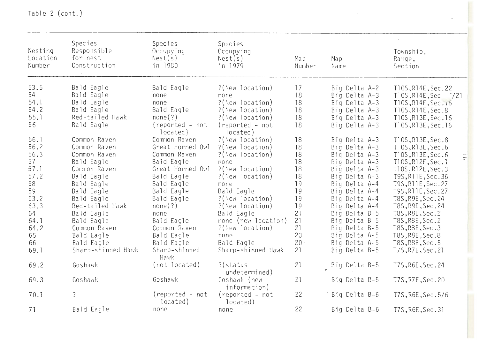| Nesting<br>Location<br>Number | Species<br>Responsible<br>for nest<br>Construction | Species<br>Occupying<br>Nest(s)<br>in 1980 | Species<br>Occupying<br>Nest(s)<br>in 1979 | Map<br>Number | Map<br>Name   | Township,<br>Range,<br>Section |
|-------------------------------|----------------------------------------------------|--------------------------------------------|--------------------------------------------|---------------|---------------|--------------------------------|
| 53.5                          | Bald Eagle                                         | Bald Eagle                                 | ?(New location)                            | 17            | Big Delta A-2 | T10S, R14E, Sec. 22            |
| 54                            | Bald Eagle                                         | none                                       | none                                       | 18            | Big Delta A-3 | T10S, R14E, Sec<br>$^{7/21}$   |
| 54.1                          | Bald Eagle                                         | none                                       | ?(New location)                            | 18            | Big Delta A-3 | T10S, R14E, Sec. 16            |
| 54.2                          | Bald Eagle                                         | Bald Eagle                                 | ?(New location)                            | 18            | Big Delta A-3 | T10S, R14E, Sec.8              |
| 55.1                          | Red-tailed Hawk                                    | none(?)                                    | ?(New location)                            | 18            | Big Delta A-3 | T10S, R13E, Sec. 16            |
| 56                            | Bald Eagle                                         | (reported - not<br>located)                | (reported - not<br>located)                | 18            | Big Delta A-3 | T10S, R13E, Sec. 16            |
| 56.1                          | Common Raven                                       | Common Raven                               | ?(New location)                            | 18            | Big Delta A-3 | T10S, R13E, Sec.8              |
| 56.2                          | Common Raven                                       | Great Horned Owl                           | ?(New location)                            | 18            | Big Delta A-3 | T10S, R13E, Sec. 6             |
| 56.3                          | Common Raven                                       | Common Raven                               | ?(New location)                            | 18            | Big Delta A-3 | T10S, R13E, Sec. 6             |
| 57                            | Bald Eagle                                         | Bald Eagle                                 | none                                       | 18            | Big Delta A-3 | T10S, R12E, Sec. 1             |
| 57.1                          | Common Raven                                       | Great Horned Owl                           | ?(New location)                            | 18            | Big Delta A-3 | T10S, R12E, Sec.3              |
| 57.2                          | Bald Eagle                                         | Bald Eagle                                 | ?(New location)                            | 18            | Big Delta A-3 | T9S, R11E, Sec. 36             |
| 58                            | Bald Eagle                                         | Bald Eagle                                 | none                                       | 19            | Big Delta A-4 | T9S, R11E, Sec. 27             |
| 59                            | Bald Eagle                                         | Bald Eagle                                 | Bald Eagle                                 | 19            | Big Delta A-4 | T9S, R11E, Sec. 27             |
| 63.2                          | Bald Eagle                                         | Bald Eagle                                 | ?(New location)                            | 19            | Big Delta A-4 | T8S, R9E, Sec. 24              |
| 63.3                          | Red-tailed Hawk                                    | none(?)                                    | ?(New location)                            | 19            | Big Delta A-4 | T8S, R9E, Sec. 24              |
| 64                            | Bald Eagle                                         | none                                       | Bald Eagle                                 | 21            | Big Delta B-5 | T8S, R8E, Sec. 2               |
| 64.1                          | Bald Eagle                                         | Bald Eagle                                 | none (new location)                        | 21            | Big Delta B-5 | T8S, R8E, Sec. 2               |
| 64.2                          | Common Raven                                       | Common Raven                               | ?(New location)                            | 21            | Big Delta B-5 | T8S, R8E, Sec.3                |
| 65                            | Bald Eagle                                         | Bald Eagle                                 | none                                       | 20            | Big Delta A-5 | T8S, R8E, Sec.8                |
| 66                            | Bald Eagle                                         | Bald Eagle                                 | Bald Eagle                                 | 20            | Big Delta A-5 | T8S, R8E, Sec. 5               |
| 69.1                          | Sharp-shinned Hawk                                 | Sharp-shinned<br><b>Hawk</b>               | Sharp-shinned Hawk                         | 21            | Big Delta B-5 | T7S, R7E, Sec. 21              |
| 69.2                          | Goshawk                                            | (not located)                              | $?$ (status<br>undetermined)               | 21            | Big Delta B-5 | T7S, R6E, Sec. 24              |
| 69.3                          | Goshawk                                            | Goshawk                                    | Goshawk (new<br>information)               | 21            | Big Delta B-5 | T7S, R7E, Sec. 20              |
| 70.1                          | $\ddot{?}$                                         | (reported - not<br>located)                | (reported - not<br>located)                | 22            | Big Delta B-6 | T7S, R6E, Sec. 5/6             |
| 71                            | Bald Eagle                                         | none                                       | none                                       | 22            | Big Delta B-6 | T7S, R6E, Sec. 31              |

 $\sim$ 

 $\sim$   $\sim$ 

 $\sim$ 

Table 2 (cont.)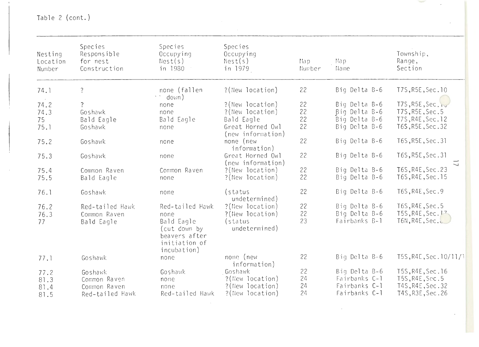Table 2 (cont.)

| Nesting<br>Location<br>Number | Species<br>Responsible<br>for nest<br>Construction | Species<br>Occupying<br>Nest(s)<br>in 1980                                  | Species<br>Occupying<br>Nest(s)<br>in 1979 | Map<br>Number | Map.<br>Name  | Township,<br>Range,<br>Section                |
|-------------------------------|----------------------------------------------------|-----------------------------------------------------------------------------|--------------------------------------------|---------------|---------------|-----------------------------------------------|
| 74.1                          | $\ddot{\cdot}$                                     | none (fallen<br>$\mathbf{x} \in \mathcal{S}_{\mathrm{out}}$<br>down)        | ?(New location)                            | 22            | Big Delta B-6 | T7S, R5E, Sec. 10                             |
| 74.2                          | $\overline{?}$                                     | none                                                                        | ?(New location)                            | 22            | Big Delta B-6 | T7S, R5E, Sec. io                             |
| 74.3                          | Goshawk                                            | none                                                                        | ?(New location)                            | 22            | Big Delta B-6 | T7S, R5E, Sec. 5                              |
| 75                            | Bald Eagle                                         | Bald Eagle                                                                  | Bald Eagle                                 | 22            | Big Delta B-6 | T7S, R4E, Sec. 12                             |
| 75.1                          | Goshawk                                            | none                                                                        | Great Horned Owl<br>(new information)      | 22            | Big Delta B-6 | T6S, R5E, Sec. 32                             |
| 75.2                          | Goshawk                                            | none                                                                        | none (new<br>information)                  | 22            | Big Delta B-6 | T6S, R5E, Sec. 31                             |
| 75.3                          | Goshawk                                            | none                                                                        | Great Horned Owl<br>(new information)      | 22            | Big Delta B-6 | T6S, R5E, Sec. 31                             |
| 75.4                          | Common Raven                                       | Common Raven                                                                | ?(New location)                            | 22            | Big Delta B-6 | $\overline{\phantom{0}}$<br>T6S, R4E, Sec. 23 |
| 75.5                          | Bald Eagle                                         | none                                                                        | ?(New location)                            | 22            | Big Delta B-6 | T6S, R4E, Sec. 15                             |
| 76.1                          | Goshawk                                            | none                                                                        | (status<br>undetermined)                   | 22            | Big Delta B-6 | T6S, R4E, Sec. 9                              |
| 76.2                          | Red-tailed Hawk                                    | Red-tailed Hawk                                                             | ?(New location)                            | 22            | Big Delta B-6 | T6S, R4E, Sec. 5                              |
| 76.3                          | Common Raven                                       | none                                                                        | ?(New location)                            | 22            | Big Delta B-6 | T5S, R4E, Sec. 17                             |
| 77                            | Bald Eagle                                         | Bald Eagle<br>(cut down by<br>beavers after<br>initiation of<br>incubation) | (status<br>undetermined)                   | 23            | Fairbanks B-1 | T6N, R4E, Sec.                                |
| 77.1                          | Goshawk                                            | none                                                                        | none (new<br>information)                  | 22            | Big Delta B-6 | T5S, R4E, Sec. 10/11/1                        |
| 77.2                          | Goshawk                                            | Goshawk                                                                     | Goshawk                                    | 22            | Big Delta B-6 | T5S, R4E, Sec. 16                             |
| 81.3                          | Common Raven                                       | none                                                                        | ?(New location)                            | 24            | Fairbanks C-1 | T5S, R4E, Sec. 5                              |
| 81.4                          | Common Raven                                       | none                                                                        | ?(New location)                            | 24            | Fairbanks C-1 | T4S, R4E, Sec. 32                             |
| 81.5                          | Red-tailed Hawk                                    | Red-tailed Hawk                                                             | ?(New location)                            | 24            | Fairbanks C-1 | T4S, R3E, Sec. 26                             |

**Service** 

 $\hat{\mathcal{A}}$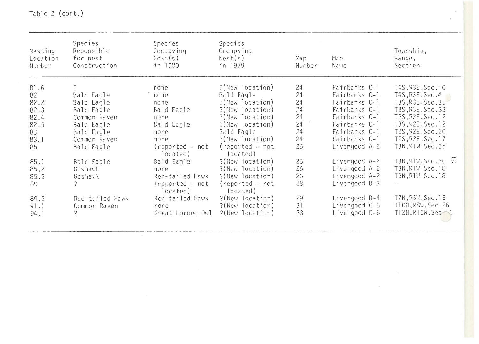| Nesting<br>Location<br>Number | Species<br>Reponsible<br>for nest<br>Construction | <b>Species</b><br>Occupying<br>Nest(s)<br>in 1980 | <b>Species</b><br>Occupying<br>Nest(s)<br>in 1979 | Map.<br>Number | Map<br>Name     | Township,<br>Range,<br>Section |
|-------------------------------|---------------------------------------------------|---------------------------------------------------|---------------------------------------------------|----------------|-----------------|--------------------------------|
| 81.6                          | $\overline{?}$                                    | none                                              | ?(New location)                                   | 24             | Fairbanks C-1   | T4S, R3E, Sec. 10              |
| 82                            | Bald Eagle                                        | ` none                                            | Bald Eagle                                        | 24             | Fairbanks C-1   | T4S, R3E, Sec. $\ell$          |
| 82.2                          | Bald Eagle                                        | none                                              | ?(New location)                                   | 24             | Fairbanks C-1   | T3S, R3E, Sec. 35              |
| 82.3                          | Bald Eagle                                        | Bald Eagle                                        | ?(New location)                                   | 24             | Fairbanks C-1   | T3S, R3E, Sec. 33              |
| 82.4                          | Common Raven                                      | none                                              | ?(New location)                                   | 24             | Fairbanks C-1   | T3S, R2E, Sec. 12              |
| 82.5                          | Bald Eagle                                        | Bald Eagle                                        | ?(New location)                                   | 24             | Fairbanks C-1   | T3S, R2E, Sec. 12              |
| 83                            | Bald Eagle                                        | none                                              | Bald Eagle                                        | 24             | Fairbanks C-1   | T2S, R2E, Sec. 20              |
| 83.1                          | Common Raven                                      | none                                              | ?(New location)                                   | 24             | Fairbanks C-1   | T2S, R2E, Sec. 17              |
| 85                            | Bald Eagle                                        | $(reported - not)$<br>located)                    | (reported - not<br>located)                       | 26             | Livengood A-2   | T3N, R1W, Sec. 35              |
| 85.1                          | Bald Eagle                                        | Bald Eagle                                        | ?(New location)                                   | 26             | Livengood A-2   | T3N, R1W, Sec. 30 $\infty$     |
| 85.2                          | Goshawk                                           | none                                              | ?(New location)                                   | 26             | Livengood A-2   | T3N, R1W, Sec. 18              |
| 85.3                          | Goshawk                                           | Red-tailed Hawk                                   | ?(New location)                                   | 26             | Livengood A-2   | T3N, R1W, Sec. 18              |
| 89                            | $\overline{?}$                                    | $(reported - not)$<br>located)                    | (reported - not<br>located)                       | 28             | Livengood $B-3$ |                                |
| 89.2                          | Red-tailed Hawk                                   | Red-tailed Hawk                                   | ?(New location)                                   | 29             | Livengood B-4   | T7N, R5W, Sec. 15              |
| 91.1                          | Common Raven                                      | none                                              | ?(New location)                                   | 31             | Livengood C-5   | T10N, R8W, Sec. 26             |
| 94.1                          |                                                   | Great Horned Owl                                  | ?(New location)                                   | 33             | Livengood D-6   | T12N, R10W, Sec 36             |

Table 2 (cont.)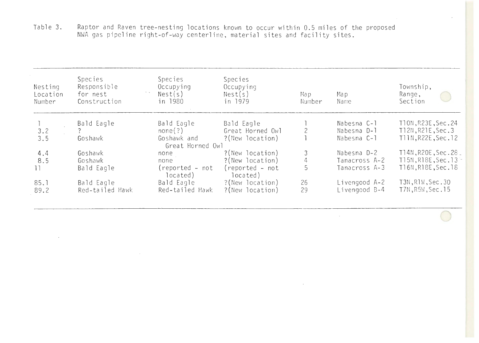Table 3. Raptor and Raven tree-nesting locatfons known to occur within 0.5 miles of the proposed NWA gas pipeline right-of-way centerline, material sites and facility sites.

 $\sim$ 

 $\sim 100$ 

| Nesting<br>Location<br>Number | <b>Species</b><br>Responsible<br>for nest<br>Construction | <b>Species</b><br>Occupying<br>Nest(s)<br>in 1980 | Species<br>Occupying<br>Nest(s)<br>in 1979 | Map<br>Number  | Map.<br>Name  | Township,<br>Range,<br>Section   |
|-------------------------------|-----------------------------------------------------------|---------------------------------------------------|--------------------------------------------|----------------|---------------|----------------------------------|
|                               | Bald Eagle                                                | Bald Eagle                                        | Bald Eagle                                 |                | Nabesna C-1   | T10N, R23E, Sec. 24              |
| 3.2                           |                                                           | none(?)                                           | Great Horned Owl                           |                | Nabesna D-1   | T12N, R21E, Sec. 3               |
| 3.5                           | Goshawk                                                   | Goshawk and<br>Great Horned Owl                   | ?(New location)                            |                | Nabesna C-1   | T11N, R22E, Sec. 12              |
| 4.4                           | Goshawk                                                   | none                                              | ?(New location)                            | 3              | Nabesna D-2   | T14N, R2OE, Sec. 28              |
| 8.5                           | Goshawk                                                   | none                                              | ?(New location)                            | $\overline{4}$ | Tanacross A-2 | T15N, R18E, Sec. 13 <sup>-</sup> |
|                               | Bald Eagle                                                | $(reported - not)$<br>located)                    | $(reported - not)$<br>located)             | 5              | Tanacross A-3 | T16N, R18E, Sec. 18              |
| 85.1                          | Bald Eagle                                                | Bald Eagle                                        | ?(New location)                            | 26             | Livengood A-2 | T3N, R1W, Sec. 30                |
| 89.2                          | Red-tailed Hawk                                           | Red-tailed Hawk                                   | ?(New location)                            | 29             | Livengood B-4 | T7N, R5W, Sec. 15                |

 $\sim 10^7$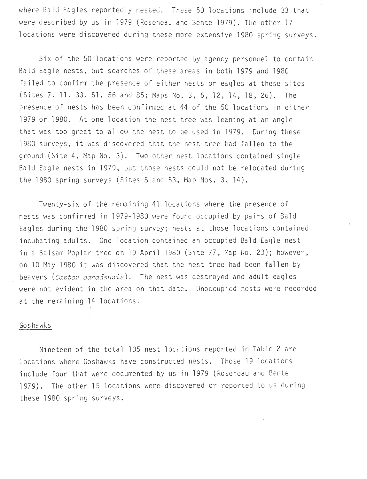where Bald Eagles reportedly nested. These 50 locations include 33 that were described by us in 1979 (Roseneau and Bente 1979). The other 17 locations were discovered during these more extensive 1980 spring surveys.

Six of the 50 locations were reported by agency personnel to contain Bald Eagle nests, but searches of these areas in both 1979 and 1980 failed to confirm the presence of either nests or eagles at these sites (Sites 7, 11, 33, 51, 56 and 85; Maps No. 3, 5, 12, 14, 18, 26). The presence of nests has been confirmed at 44 of the 50 locations in either 1979 or 1980. At one location the nest tree was leaning at an angle that was too great to allow the nest to be used in 1979. During these 1980 surveys, it was discovered that the nest tree had fallen to the ground (Site 4, Map No. 3). Two other nest locations contained single Bald Eagle nests in 1979, but those nests could not be relocated during the  $1980$  spring surveys (Sites 8 and 53, Map Nos. 3, 14).

Twenty-six of the remaining 41 locations where the presence of nests was confirmed in 1979-1980 were found occupied by pairs of Bald Eagles during the 1980 spring survey; nests at those locations contained incubating adults. One location contained an occupied Bald Eagle nest in a Balsam Poplar tree on 19 April 1980 (Site 77, Map No. 23); however, on 10 May 1980 it was discovered that the nest tree had been fallen by beavers *(Castor canadensis)*. The nest was destroyed and adult eagles were not evident in the area on that date. Unoccupied nests were recorded at the remaining 14 locations.

#### Goshawks

Nineteen of the total 105 nest locations reported in Table 2 are locations where Goshawks have constructed nests. Those 19 locations include four that were documented by us in 1979 (Roseneau and Bente 1979). The other 15 locations were discovered or reported to us during these 1980 spring surveys.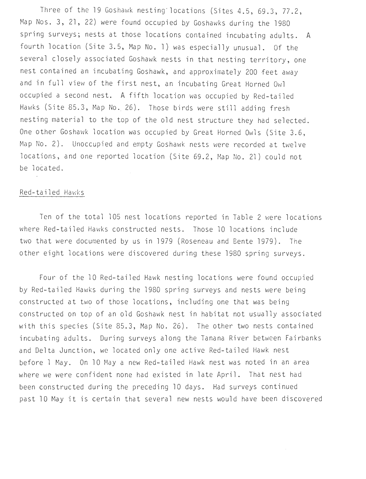Three of the 19 Goshawk nesting locations (Sites 4.5, 69.3, 77.2, Map Nos. 3, 21, 22) were found occupied by Goshawks during the 1980 spring surveys; nests at those locations contained incubating adults. A fourth location (Site 3.5, Map No. 1) was especially unusual. Of the several closely associated Goshawk nests in that nesting territory, one nest contained an incubating Goshawk, and approximately 200 feet away and in full view of the first nest, an incubating Great Horned Owl occupied a second nest. A fifth location was occupied by Red-tailed Hawks (Site 85.3, Map No. 26). Those birds were still adding fresh nesting material to the top of the old nest structure they had selected. One other Goshawk location was occupied by Great Horned Owls (Site 3.6, Map No. 2). Unoccupied and empty Goshawk nests were recorded at twelve locations, and one reported location (Site 69.2, Map No. 21) could not be located.

#### Red-tailed Hawks

Ten of the total 105 nest locations reported in Table 2 were locations where Red-tailed Hawks constructed nests. Those 10 locations include two that were documented by us in 1979 (Roseneau and Bente 1979) . The other eight locations were discovered during these 1980 spring surveys.

Four of the 10 Red-tailed Hawk nesting locations were found occupied by Red-tailed Hawks during the 1980 spring surveys and nests were being constructed at two of those locations, including one that was being constructed on top of an old Goshawk nest in habitat not usually associated with this species (Site 85.3, Map No. 26). The other two nests contained incubating adults. During surveys along the Tanana River between Fairbanks and Delta Junction, we located only one active Red-tailed Hawk nest before l May. On 10 May a new Red-tailed Hawk nest was noted in an area where we were confident none had existed in late April. That nest had been constructed during the preceding 10 days. Had surveys continued past 10 May it is certain that several new nests would have been discovered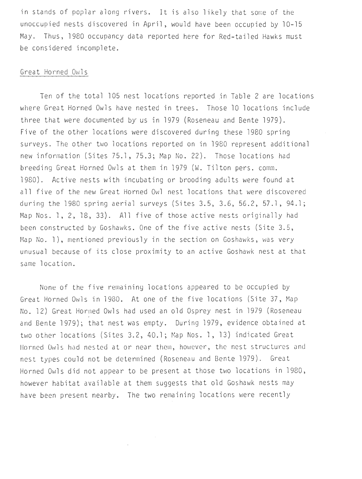in stands of poplar along rivers. It is also likely that some of the unoccupied nests discovered in April, would have been occupied by 10-15 May. Thus, 1980 occupancy data reported here for Red-tailed Hawks must be considered incomplete.

#### Great Horned Owls

Ten of the total 105 nest locations reported in Table 2 are locations where Great Horned Owls have nested in trees. Those 10 locations include three that were documented by us in 1979 (Roseneau and Bente 1979). Five of the other locations were discovered during these 1980 spring surveys . The other two locations reported on in 1980 represent additional new information (Sites 75.1, 75.3; Map No. 22). Those locations had breeding Great Horned Owls at them in 1979 (W. Tilton pers. comm. 1980). Active nests with incubating or brooding adults were found at all five of the new Great Horned Owl nest locations that were discovered during the 1980 spring aerial surveys (Sites 3.5, 3.6, 56.2, 57.1, 94.1; Map Nos. l, 2, 18, 33). All five of those active nests originally had been constructed by Goshawks. One of the five active nests (Site 3.5, Map No. 1), mentioned previously in the section on Goshawks, was very unusual because of its close proximity to an active Goshawk nest at that same location.

None of the five remaining locations appeared to be occupied by Great Horned Owls in 1980. At one of the five locations (Site 37, Map No. 12) Great Horned Owls had used an old Osprey nest in 1979 (Roseneau and Bente 1979); that nest was empty. During 1979, evidence obtained at two other locations (Sites 3.2, 40. 1; Map Nos. 1, 13) indicated Great Horned Owls had nested at or near them, however, the nest structures and nest types could not be determined (Roseneau and Bente 1979). Great Horned Owls did not appear to be present at those two locations in 1980 , however habitat available at them suggests that old Goshawk nests may have been present nearby. The two remaining locations were recently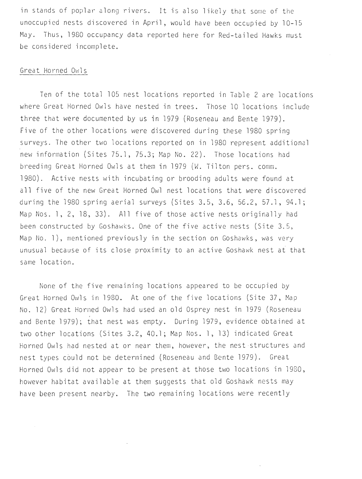in stands of poplar along rivers. It is also likely that some of the unoccupied nests discovered in April, would have been occupied by 10-15 May. Thus, 1980 occupancy data reported here for Red-tailed Hawks must be considered incomplete.

#### Great Horned Owls

Ten of the total 105 nest locations reported in Table 2 are locations where Great Horned Owls have nested in trees. Those 10 locations include three that were documented by us in 1979 (Roseneau and Bente 1979). Five of the other locations were discovered during these 1980 spring surveys. The other two locations reported on in 1980 represent additional new information (Sites 75.1, 75.3; Map No. 22). Those locations had breeding Great Horned Owls at them in 1979 (W. Tilton pers. comm. 1980). Active nests with incubating or brooding adults were found at all five of the new Great Horned Owl nest locations that were discovered during the 1980 spring aerial surveys (Sites 3.5, 3.6, 56.2, 57.1, 94.1; Map Nos. l, 2, 18, 33). All five of those active nests originally had been constructed by Goshawks. One of the five active nests (Site 3.5, Map No. 1), mentioned previously in the section on Goshawks, was very unusual because of its close proximity to an active Goshawk nest at that same location.

None of the five remaining locations appeared to be occupied by Great Horned Owls in 1980. At one of the five locations (Site 37, Map No. 12 ) Great Horned Owls had used an old Osprey nest in 1979 (Roseneau and Bente 1979); that nest was empty. During 1979, evidence obtained at two other locations (Sites 3.2, 40.1; Map Nos. 1, 13) indicated Great Horned Owls had nested at or near them, however, the nest structures and nest types could not be determined (Roseneau and Bente 1979). Great Horned Owls did not appear to be present at those two locations in 1980, however habitat available at them suggests that old Goshawk nests may have been present nearby. The two remaining locations were recently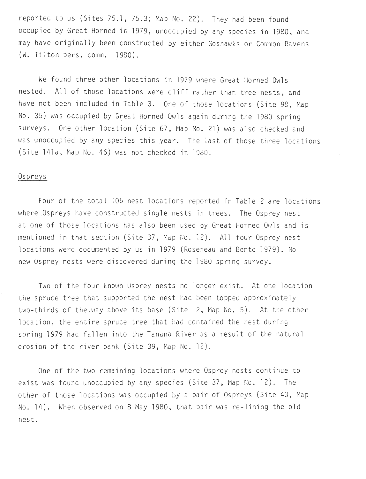reported to us (Sites 75.1, 75.3; Map No. 22). They had been found occupied by Great Horned in 1979, unoccupied by any species in 1980, and may have originally been constructed by either Goshawks or Common Ravens  $(W.$  Tilton pers. comm.  $1980)$ .

We found three other locations in 1979 where Great Horned Owls nested. All of those locations were cliff rather than tree nests, and have not been included in Table 3. One of those locations (Site 98, Map No. 35) was occupied by Great Horned Owls again during the 1980 spring surveys. One other location (Site 67, Map No. 21) was also checked and was unoccupied by any species this year. The last of those three locations (Site 141a, Map No. 46) was not checked in 1980.

#### Ospreys

Four of the total 105 nest locations reported in Table 2 are locations where Ospreys have constructed single nests in trees. The Osprey nest at one of those locations has also been used by Great Horned Owls and is mentioned in that section (Site 37, Map No. 12). All four Osprey nest locations were documented by us in 1979 (Roseneau and Bente 1979). No new Osprey nests were discovered during the 1980 spring survey.

Two of the four known Osprey nests no longer exist. At one location the spruce tree that supported the nest had been topped approximately two-thirds of the way above its base (Site 12, Map No. 5). At the other location, the entire spruce tree that had contained the nest during spring 1979 had fallen into the Tanana River as a result of the natural erosion of the river bank (Site 39, Map No. 12).

One of the two remaining locations where Osprey nests continue to exist was found unoccupied by any species (Site 37, Map No. 12). The other of those locations was occupied by a pair of Ospreys (Site 43, Map No. 14). When observed on 8 May 1980, that pair was re-lining the old nest .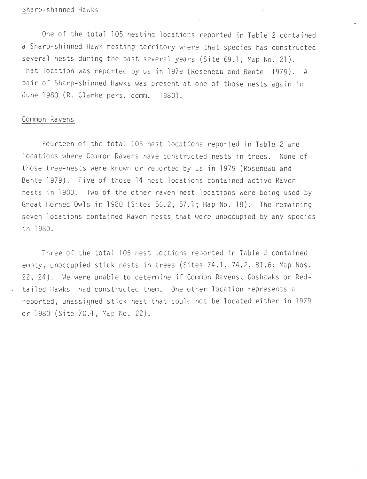#### Sharp-shinned Hawks

One of the total 105 nesting locations reported in Table 2 contained a Sharp-shinned Hawk nesting territory where that species has constructed several nests during the past several years (Site 69.1, Map No. 21). That location was reported by us in 1979 (Roseneau and Bente 1979). A pair of Sharp-shinned Hawks was present at one of those nests again in June 1980 (R. Clarke pers. comm. 1980).

 $\mathbf{r}$ 

#### Common Ravens

Fourteen of the total 105 nest locations reported in Table 2 are locations where Common Ravens have constructed nests in trees. None of those tree -nests were known or reported by us in 1979 (Roseneau and Bente 1979). Five of those 14 nest locations contained active Raven nests in 1980. Two of the other raven nest locations were being used by Great Horned Owls in 1980 (Sites  $56.2$ ,  $57.1$ ; Map No. 18). The remaining seven locations contained Raven nests that were unoccupied by any species in 1980 .

Three of the total 105 nest loctions reported in Table 2 contained empty, unoccupied stick nests in trees (Sites 74.1, 74.2, 81.6; Map Nos. 22, 24). We were unable to determine if Common Ravens, Goshawks or Redtailed Hawks had constructed them. One other location represents a reported, unassigned stick nest that could not be located either in 1979 or 1980 (Site 70.1, Map No. 22).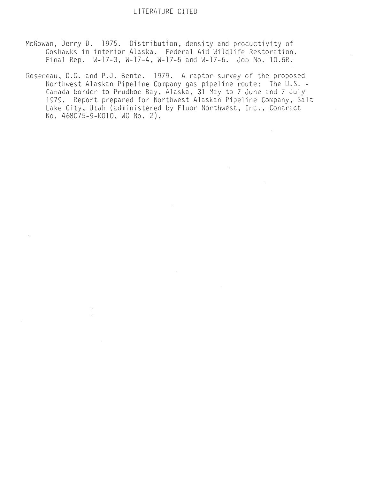- McGowan, Jerry D. 1975. Distribution, density and productivity of<br>Goshawks in interior Alaska. Federal Aid Wildlife Restoration. Final Rep. W-17-3, W-17-4, W-17-5 and W-17-6. Job No. 10.6R.
- Roseneau, D.G. and P.J. Bente. 1979. A raptor survey of the proposed<br>Northwest Alaskan Pipeline Company gas pipeline route: The U.S. -Northwest Alaskan Pipeline Company gas pipeline route: U.S. Canada border to Prudhoe Bay, Alaska, 31 May to 7 June and 7 July 1979. Report prepared for Northwest Alaskan Pipeline Company, Salt Lake City, Utah (administered by Fluor Northwest, Inc., Contract No. 468075-9-KOlO, WO No. 2).

 $\mathcal{L}^{\mathcal{L}}$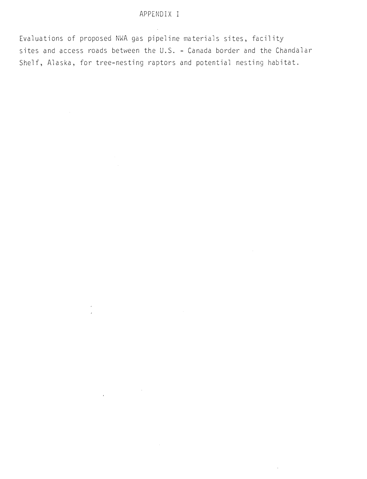Evaluations of proposed NWA gas pipeline materials sites, facility sites and access roads between the U.S. - Canada border and the Chandalar Shelf, Alaska, for tree-nesting raptors and potential nesting habitat.

> $\epsilon$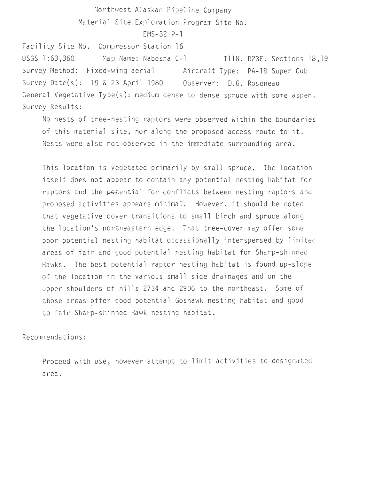Northwest Alaskan Pipeline Company Material Site Exploration Program Site No. Facility Site No. Compressor Station 16 USGS 1 :63,360 EMS-32 P-1 Map Name: Nabesna C-1 TIIN, R23E, Sections 18,19 Survey Method: Fixed-wing aerial Aircraft Type: PA-18 Super Cub Survey Date(s): 19 & 23 April 1980 Observer: O.G. Roseneau

General Vegetative Type(s): medium dense to dense spruce with some aspen. Survey Results:

No nests of tree-nesting raptors were observed within the boundaries of this material site, nor along the proposed access route to it. Nests were also not observed in the immediate surrounding area.

This location is vegetated primarily by small spruce. The location itself does not appear to contain any potential nesting habitat for raptors and the potential for conflicts between nesting raptors and proposed activities appears minimal . However, it should be noted that vegetative cover transitions to small birch and spruce along the location's northeastern edge. That tree-cover may offer some poor potential nesting habitat occassionally interspersed by limited areas of fair and good potential nesting habitat for Sharp-shinned Hawks. The best potential raptor nesting habitat is found up-slope of the location in the various small side drainages and on the upper shoulders of hills 2734 and 2906 to the northeast. Some of those areas offer good potential Goshawk nesting habitat and good to fair Sharp-shinned Hawk nesting habitat.

Recomme ndations:

Proceed with use, however attempt to limit activities to designated a rea .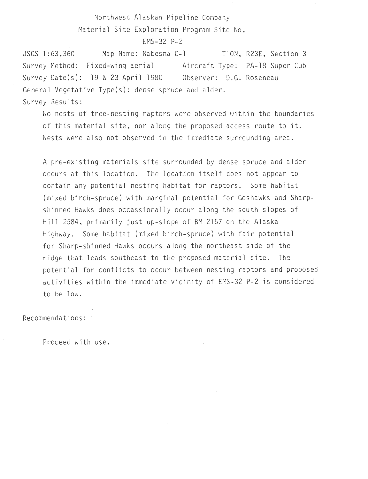$FMS = 32 P - 2$ 

USGS l :63,360 Map Name: Nabesna C-1 TlON, R23E, Section 3 Survey Method: Fixed-wing aerial Aircraft Type: PA-18 Super Cub Survey Date(s): 19 & 23 April 1980 Obs erver : D.G. Roseneau General Vegetative Type $(s)$ : dense spruce and alder. Survey Results:

No nests of tree-nesting raptors were observed within the boundaries of this material site, nor along the proposed access route to it. Nests were also not observed in the immediate surrounding area.

A pre-existing materials site surrounded by dense spruce and alder occurs at this location. The location itself does not appear to contain any potential nesting habitat for raptors. Some habitat (mixed birch-spruce) with marginal potential for Goshawks and Sharpshinned Hawks does occassionally occur along the south slopes of Hill 2584, primarily just up-slope of BM 2157 on the Alaska Highway. Some habitat (mixed birch-spruce) with fair potential for Sharp-shinned Hawks occurs along the northeast side of the ridge that leads southeast to the proposed material site. The potential for conflicts to occur between nesting raptors and proposed activities within the immediate vicinity of EMS-32 P-2 is considered to be low.

Recommendations:

Proceed with use.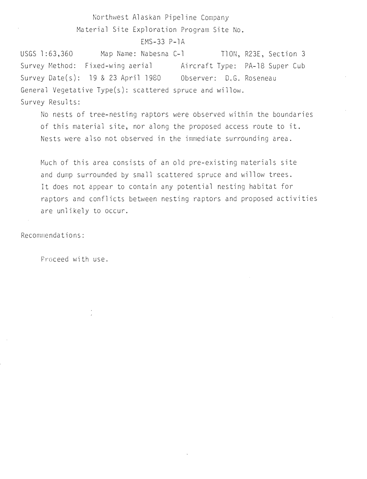EMS-33 P-lA

USGS 1:63,360 Survey t~ethod: Fi xed-wing aerial Aircraft Type: PA-18 Super Cub Map Name: Nabesna C-1 Survey Oate(s): 19 & 23 April 1980 Observer: O.G. Roseneau General Vegetative Type(s): scattered spruce and willow. Survey Results: TION, R23E, Section 3

No nests of tree-nesting raptors were observed within the boundaries of this material site, nor along the proposed access route to it. Nests were also not observed in the immediate surrounding area.

Much of this area consists of an old pre-existing materials site and dump surrounded by small scattered spruce and willow trees. It does not appear to contain any potential nesting habitat for raptors and conflicts between nesting raptors and proposed activities are unlikely to occur.

Recommendations:

Proc eed with use.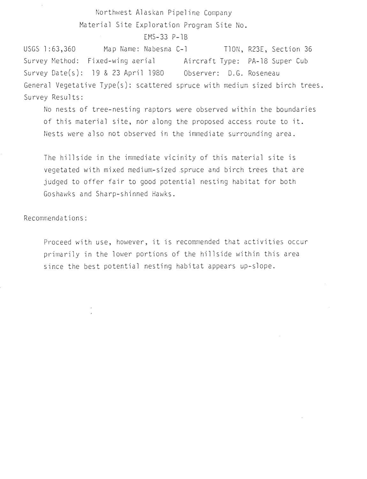EMS-33 P-lB

USGS 1:63,360 Map Name: Nabesna C-1 TION, R23E, Section 36 Survey Method: Fixed-wing aerial Aircraft Type: PA-18 Super Cub Survey Date(s): 19 & 23 April 1980 Observer: D.G. Roseneau General Vegetative Type(s): scattered spruce with medium sized birch trees. Survey Results:

No nests of tree-nesting raptors were observed within the boundaries of this material site, nor along the proposed access route to it. Nests were also not observed in the immediate surrounding area.

The hillside in the immediate vicinity of this material site is vegetated with mixed medium-sized .spruce and birch trees that are judged to offer fair to good potential nesting habitat for both Goshawks and Sharp-shinned Hawks.

Recommendations:

Proceed with use, however, it is recommended that activities occur primarily in the lower portions of the hillside within this area since the best potential nesting habitat appears up-slope.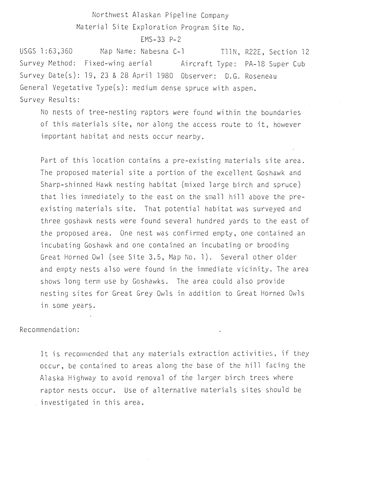#### EMS-33 P-2

USGS l :63~360 Survey Method: Fixed-wing aerial Aircraft Type : PA-18 Super Cub Map Name: Nabesna C-1 Survey Date(s): 19, 23 & 28 April 1980 Observer: D.G. Roseneau TIIN, R22E, Section 12 General Vegetative Type(s): medium dense spruce with aspen . Survey Results:

No nests of tree-nesting raptors were found within the boundaries of this materials site, nor along the access route to it, however important habitat and nests occur nearby.

Part of this location contains a pre-existing materials site area . The proposed material site a portion of the excellent Goshawk and Sharp-shinned Hawk nesting habitat (mixed large birch and spruce) that lies immediately to the east on the small hill above the preexisting materials site. That potential habitat was surveyed and three goshawk nests were found several hundred yards to the east of the proposed area. One nest was confirmed empty, one contained an incubating Goshawk and one contained an incubating or brooding Great Horned Owl (see Site 3.5, Map No. 1). Several other older and empty nests also were found in the immediate vicinity. The area shows long term use by Goshawks. The area could also provide nesting sites for Great Grey Owls in addition to Great Horned Owls in some years.

#### Recommendation:

It is recommended that any materials extraction activities, if they occur, be contained to areas along the base of the hill facing the Alaska Highway to avoid removal of the larger birch trees where raptor nests occur. Use of alternative materials sites should be investigated in this area .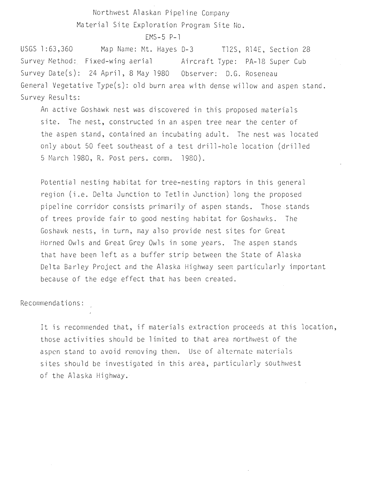$EMS-5$   $P-1$ 

USGS 1:63,360 Map Name: Mt. Hayes D-3 T12S, R14E, Section 28 Survey Method: Fixed-wing aerial Aircraft Type: PA-18 Super Cub Survey Date(s): 24 April, 8 May 1980 Observer: D.G. Roseneau General Vegetative Type(s): old burn area with dense willow and aspen stand. Survey Results:

An active Goshawk nest was discovered in this proposed materials site. The nest, constructed in an aspen tree near the center of the aspen stand, contained an incubating adult. The nest was located only about 50 feet southeast of a test drill-hole location (drilled 5 March 1980, R. Post pers. comm. 1980).

Potential nesting habitat for tree-nesting raptors in this general region (i.e. Delta Junction to Tetlin Junction) long the proposed pipeline corridor consists primarily of aspen stands. Those stands of trees provide fair to good nesting habitat for Goshawks. The Goshawk nests, in turn, may also provide nest sites for Great Horned Owls and Great Grey Owls in some years. The aspen stands that have been left as a buffer strip between the State of Alaska Delta Barley Project and the Alaska Highway seem particularly important because of the edge effect that has been created.

Recommendations:

It is recommended that, if materials extraction proceeds at this location, those activities should be limited to that area northwest of the aspen stand to avoid removing them. Use of alternate materials sites should be investigated in this area, particularly southwest of the Alaska Highway.